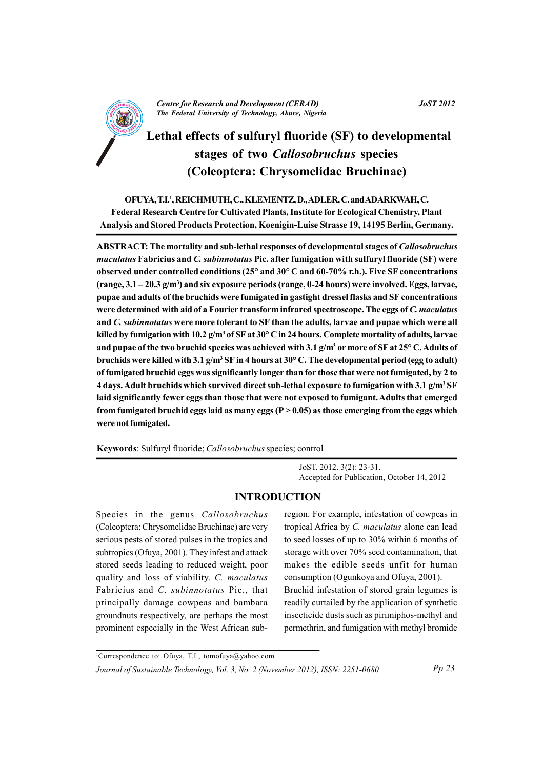

S

# Lethal effects of sulfuryl fluoride (SF) to developmental stages of two *Callosobruchus* species (Coleoptera: Chrysomelidae Bruchinae)

OFUYA, T.I.<sup>1</sup>, REICHMUTH, C., KLEMENTZ, D., ADLER, C. and ADARKWAH, C. Federal Research Centre for Cultivated Plants, Institute for Ecological Chemistry, Plant Analysis and Stored Products Protection, Koenigin-Luise Strasse 19, 14195 Berlin, Germany.

ABSTRACT: The mortality and sub-lethal responses of developmental stages of *Callosobruchus maculatus* Fabricius and C. *subinnotatus* Pic. after fumigation with sulfuryl fluoride (SF) were observed under controlled conditions  $(25^{\circ}$  and  $30^{\circ}$  C and  $60$ -70% r.h.). Five SF concentrations (range,  $3.1 - 20.3$  g/m<sup>3</sup>) and six exposure periods (range, 0-24 hours) were involved. Eggs, larvae, pupae and adults of the bruchids were fumigated in gastight dressel flasks and SF concentrations were determined with aid of a Fourier transform infrared spectroscope. The eggs of C. maculatus and C. subinnotatus were more tolerant to SF than the adults, larvae and pupae which were all killed by fumigation with 10.2  $g/m^3$  of SF at 30 $^{\circ}$  C in 24 hours. Complete mortality of adults, larvae and pupae of the two bruchid species was achieved with 3.1 g/m<sup>3</sup> or more of SF at 25° C. Adults of bruchids were killed with 3.1  $g/m^3$  SF in 4 hours at 30 $^{\circ}$  C. The developmental period (egg to adult) of fumigated bruchid eggs was significantly longer than for those that were not fumigated, by 2 to 4 days. Adult bruchids which survived direct sub-lethal exposure to fumigation with 3.1 g/m<sup>3</sup> SF laid significantly fewer eggs than those that were not exposed to fumigant. Adults that emerged from fumigated bruchid eggs laid as many eggs ( $P > 0.05$ ) as those emerging from the eggs which were not fumigated.

Keywords: Sulfuryl fluoride; Callosobruchus species; control

JoST. 2012. 3(2): 23-31. Accepted for Publication, October 14, 2012

# **INTRODUCTION**

Species in the genus Callosobruchus (Coleoptera: Chrysomelidae Bruchinae) are very serious pests of stored pulses in the tropics and subtropics (Ofuya, 2001). They infest and attack stored seeds leading to reduced weight, poor quality and loss of viability. C. maculatus Fabricius and C. subinnotatus Pic., that principally damage cowpeas and bambara groundnuts respectively, are perhaps the most prominent especially in the West African subregion. For example, infestation of cowpeas in tropical Africa by C. maculatus alone can lead to seed losses of up to 30% within 6 months of storage with over 70% seed contamination, that makes the edible seeds unfit for human consumption (Ogunkoya and Ofuya, 2001). Bruchid infestation of stored grain legumes is readily curtailed by the application of synthetic insecticide dusts such as pirimiphos-methyl and permethrin, and fumigation with methyl bromide

<sup>1</sup>Correspondence to: Ofuya, T.I., tomofuya@yahoo.com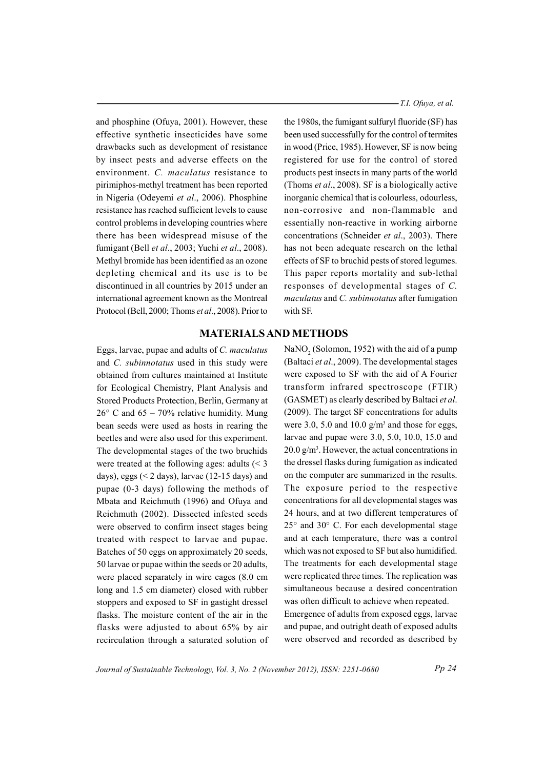and phosphine (Ofuya, 2001). However, these effective synthetic insecticides have some drawbacks such as development of resistance by insect pests and adverse effects on the environment. C. maculatus resistance to pirimiphos-methyl treatment has been reported in Nigeria (Odevemi et al., 2006). Phosphine resistance has reached sufficient levels to cause control problems in developing countries where there has been widespread misuse of the fumigant (Bell et al., 2003; Yuchi et al., 2008). Methyl bromide has been identified as an ozone depleting chemical and its use is to be discontinued in all countries by 2015 under an international agreement known as the Montreal Protocol (Bell, 2000; Thoms et al., 2008). Prior to

Eggs, larvae, pupae and adults of C. *maculatus* and C. subinnotatus used in this study were obtained from cultures maintained at Institute for Ecological Chemistry, Plant Analysis and Stored Products Protection, Berlin, Germany at  $26^{\circ}$  C and  $65 - 70\%$  relative humidity. Mung bean seeds were used as hosts in rearing the beetles and were also used for this experiment. The developmental stages of the two bruchids were treated at the following ages: adults  $\leq 3$ days), eggs  $(< 2$  days), larvae  $(12-15$  days) and pupae (0-3 days) following the methods of Mbata and Reichmuth (1996) and Ofuya and Reichmuth (2002). Dissected infested seeds were observed to confirm insect stages being treated with respect to larvae and pupae. Batches of 50 eggs on approximately 20 seeds, 50 larvae or pupae within the seeds or 20 adults, were placed separately in wire cages (8.0 cm long and 1.5 cm diameter) closed with rubber stoppers and exposed to SF in gastight dressel flasks. The moisture content of the air in the flasks were adjusted to about 65% by air recirculation through a saturated solution of - T.I. Ofuya, et al.

the 1980s, the fumigant sulfuryl fluoride (SF) has been used successfully for the control of termites in wood (Price, 1985). However, SF is now being registered for use for the control of stored products pest insects in many parts of the world (Thoms et al., 2008). SF is a biologically active inorganic chemical that is colourless, odourless, non-corrosive and non-flammable and essentially non-reactive in working airborne concentrations (Schneider et al., 2003). There has not been adequate research on the lethal effects of SF to bruchid pests of stored legumes. This paper reports mortality and sub-lethal responses of developmental stages of C. maculatus and C. subinnotatus after fumigation with SF.

### **MATERIALS AND METHODS**

NaNO<sub>2</sub> (Solomon, 1952) with the aid of a pump (Baltaci et al., 2009). The developmental stages were exposed to SF with the aid of A Fourier transform infrared spectroscope (FTIR) (GASMET) as clearly described by Baltaci et al. (2009). The target SF concentrations for adults were 3.0, 5.0 and 10.0  $g/m^3$  and those for eggs, larvae and pupae were  $3.0, 5.0, 10.0, 15.0$  and  $20.0$  g/m<sup>3</sup>. However, the actual concentrations in the dressel flasks during fumigation as indicated on the computer are summarized in the results. The exposure period to the respective concentrations for all developmental stages was 24 hours, and at two different temperatures of  $25^{\circ}$  and  $30^{\circ}$  C. For each developmental stage and at each temperature, there was a control which was not exposed to SF but also humidified. The treatments for each developmental stage were replicated three times. The replication was simultaneous because a desired concentration was often difficult to achieve when repeated. Emergence of adults from exposed eggs, larvae

and pupae, and outright death of exposed adults were observed and recorded as described by

Journal of Sustainable Technology, Vol. 3, No. 2 (November 2012), ISSN: 2251-0680

 $Pp24$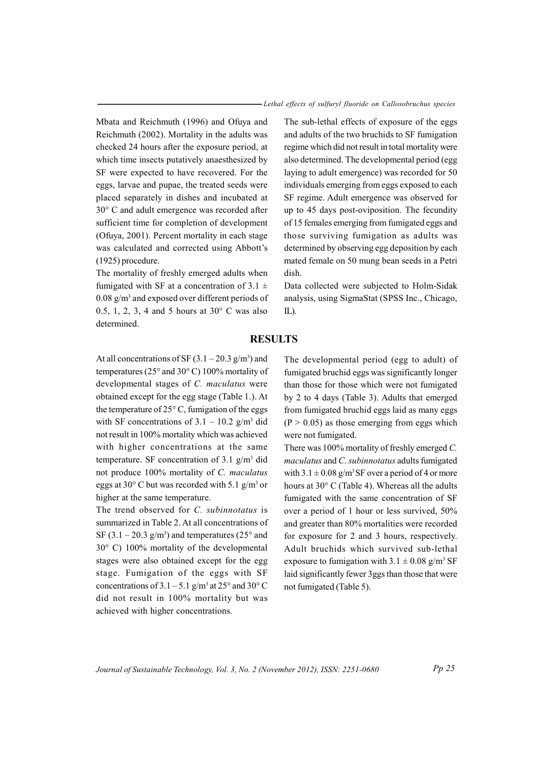- Lethal effects of sulfuryl fluoride on Callosobruchus species

Mbata and Reichmuth (1996) and Ofuya and Reichmuth (2002). Mortality in the adults was checked 24 hours after the exposure period, at which time insects putatively anaesthesized by SF were expected to have recovered. For the eggs, larvae and pupae, the treated seeds were placed separately in dishes and incubated at 30° C and adult emergence was recorded after sufficient time for completion of development (Ofuya, 2001). Percent mortality in each stage was calculated and corrected using Abbott's  $(1925)$  procedure.

The mortality of freshly emerged adults when fumigated with SF at a concentration of 3.1  $\pm$  $0.08$  g/m<sup>3</sup> and exposed over different periods of 0.5, 1, 2, 3, 4 and 5 hours at  $30^{\circ}$  C was also determined.

The sub-lethal effects of exposure of the eggs and adults of the two bruchids to SF fumigation regime which did not result in total mortality were also determined. The developmental period (egg laying to adult emergence) was recorded for 50 individuals emerging from eggs exposed to each SF regime. Adult emergence was observed for up to 45 days post-oviposition. The fecundity of 15 females emerging from fumigated eggs and those surviving fumigation as adults was determined by observing egg deposition by each mated female on 50 mung bean seeds in a Petri dish.

Data collected were subjected to Holm-Sidak analysis, using SigmaStat (SPSS Inc., Chicago,  $IL$ ).

### **RESULTS**

At all concentrations of SF  $(3.1-20.3 \text{ g/m}^3)$  and temperatures ( $25^{\circ}$  and  $30^{\circ}$  C) 100% mortality of developmental stages of C. maculatus were obtained except for the egg stage (Table 1.). At the temperature of  $25^{\circ}$  C, fumigation of the eggs with SF concentrations of  $3.1 - 10.2$  g/m<sup>3</sup> did not result in 100% mortality which was achieved with higher concentrations at the same temperature. SF concentration of 3.1  $g/m<sup>3</sup>$  did not produce 100% mortality of C. maculatus eggs at 30 $^{\circ}$  C but was recorded with 5.1 g/m<sup>3</sup> or higher at the same temperature.

The trend observed for C. subinnotatus is summarized in Table 2. At all concentrations of SF  $(3.1 - 20.3 \text{ g/m}^3)$  and temperatures  $(25^\circ \text{ and}$  $30^{\circ}$  C) 100% mortality of the developmental stages were also obtained except for the egg stage. Fumigation of the eggs with SF concentrations of  $3.1 - 5.1$  g/m<sup>3</sup> at  $25^{\circ}$  and  $30^{\circ}$  C did not result in 100% mortality but was achieved with higher concentrations.

The developmental period (egg to adult) of fumigated bruchid eggs was significantly longer than those for those which were not fumigated by 2 to 4 days (Table 3). Adults that emerged from fumigated bruchid eggs laid as many eggs  $(P > 0.05)$  as those emerging from eggs which were not fumigated.

There was 100% mortality of freshly emerged C. maculatus and C. subinnotatus adults fumigated with  $3.1 \pm 0.08$  g/m<sup>3</sup>SF over a period of 4 or more hours at 30° C (Table 4). Whereas all the adults fumigated with the same concentration of SF over a period of 1 hour or less survived, 50% and greater than 80% mortalities were recorded for exposure for 2 and 3 hours, respectively. Adult bruchids which survived sub-lethal exposure to fumigation with  $3.1 \pm 0.08$  g/m<sup>3</sup> SF laid significantly fewer 3ggs than those that were not fumigated (Table 5).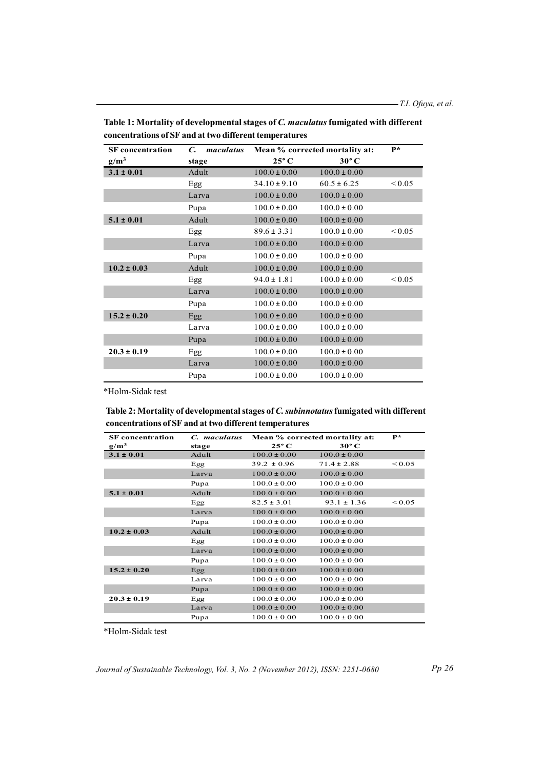| <b>SF</b> concentration | C.<br>maculatus | $\mathbf{p}$ *<br>Mean % corrected mortality at: |                  |             |
|-------------------------|-----------------|--------------------------------------------------|------------------|-------------|
| $g/m^3$                 | stage           | $25^{\circ}$ C                                   | $30^{\circ}$ C   |             |
| $3.1 \pm 0.01$          | Adult           | $100.0 \pm 0.00$                                 | $100.0 \pm 0.00$ |             |
|                         | Egg             | $34.10 \pm 9.10$                                 | $60.5 \pm 6.25$  | ${}_{0.05}$ |
|                         | Larva           | $100.0 \pm 0.00$                                 | $100.0 \pm 0.00$ |             |
|                         | Pupa            | $100.0 \pm 0.00$                                 | $100.0 \pm 0.00$ |             |
| $5.1 \pm 0.01$          | Adult           | $100.0 \pm 0.00$                                 | $100.0 \pm 0.00$ |             |
|                         | Egg             | $89.6 \pm 3.31$                                  | $100.0 \pm 0.00$ | ${}_{0.05}$ |
|                         | Larva           | $100.0 \pm 0.00$                                 | $100.0 \pm 0.00$ |             |
|                         | Pupa            | $100.0 \pm 0.00$                                 | $100.0 \pm 0.00$ |             |
| $10.2 \pm 0.03$         | Adult           | $100.0 \pm 0.00$                                 | $100.0 \pm 0.00$ |             |
|                         | Egg             | $94.0 \pm 1.81$                                  | $100.0 \pm 0.00$ | ${}_{0.05}$ |
|                         | Larva           | $100.0 \pm 0.00$                                 | $100.0 \pm 0.00$ |             |
|                         | Pupa            | $100.0 \pm 0.00$                                 | $100.0 \pm 0.00$ |             |
| $15.2 \pm 0.20$         | Egg             | $100.0 \pm 0.00$                                 | $100.0 \pm 0.00$ |             |
|                         | Larva           | $100.0 \pm 0.00$                                 | $100.0 \pm 0.00$ |             |
|                         | Pupa            | $100.0 \pm 0.00$                                 | $100.0 \pm 0.00$ |             |
| $20.3 \pm 0.19$         | Egg             | $100.0 \pm 0.00$                                 | $100.0 \pm 0.00$ |             |
|                         | Larva           | $100.0 \pm 0.00$                                 | $100.0 \pm 0.00$ |             |
|                         | Pupa            | $100.0 \pm 0.00$                                 | $100.0 \pm 0.00$ |             |

Table 1: Mortality of developmental stages of C. maculatus fumigated with different concentrations of SF and at two different temperatures

\*Holm-Sidak test

# Table 2: Mortality of developmental stages of C. subinnotatus fumigated with different concentrations of SF and at two different temperatures

| <b>SF</b> concentration | C. maculatus | Mean % corrected mortality at: |                  | P*          |
|-------------------------|--------------|--------------------------------|------------------|-------------|
| $g/m^3$                 | stage        | $25^{\circ}$ C                 | $30^{\circ}$ C   |             |
| $3.1 \pm 0.01$          | Adult        | $100.0 \pm 0.00$               | $100.0 \pm 0.00$ |             |
|                         | Egg          | $39.2 \pm 0.96$                | $71.4 \pm 2.88$  | ${}_{0.05}$ |
|                         | Larva        | $100.0 \pm 0.00$               | $100.0 \pm 0.00$ |             |
|                         | Pupa         | $100.0 \pm 0.00$               | $100.0 \pm 0.00$ |             |
| $5.1 \pm 0.01$          | Adult        | $100.0 \pm 0.00$               | $100.0 \pm 0.00$ |             |
|                         | Egg          | $82.5 \pm 3.01$                | $93.1 \pm 1.36$  | ${}_{0.05}$ |
|                         | Larva        | $100.0 \pm 0.00$               | $100.0 \pm 0.00$ |             |
|                         | Pupa         | $100.0 \pm 0.00$               | $100.0 \pm 0.00$ |             |
| $10.2 \pm 0.03$         | Adult        | $100.0 \pm 0.00$               | $100.0 \pm 0.00$ |             |
|                         | Egg          | $100.0 \pm 0.00$               | $100.0 \pm 0.00$ |             |
|                         | Larva        | $100.0 \pm 0.00$               | $100.0 \pm 0.00$ |             |
|                         | Pupa         | $100.0 \pm 0.00$               | $100.0 \pm 0.00$ |             |
| $15.2 \pm 0.20$         | Egg          | $100.0 \pm 0.00$               | $100.0 \pm 0.00$ |             |
|                         | Larva        | $100.0 \pm 0.00$               | $100.0 \pm 0.00$ |             |
|                         | Pupa         | $100.0 \pm 0.00$               | $100.0 \pm 0.00$ |             |
| $20.3 \pm 0.19$         | Egg          | $100.0 \pm 0.00$               | $100.0 \pm 0.00$ |             |
|                         | Larva        | $100.0 \pm 0.00$               | $100.0 \pm 0.00$ |             |
|                         | Pupa         | $100.0 \pm 0.00$               | $100.0 \pm 0.00$ |             |

\*Holm-Sidak test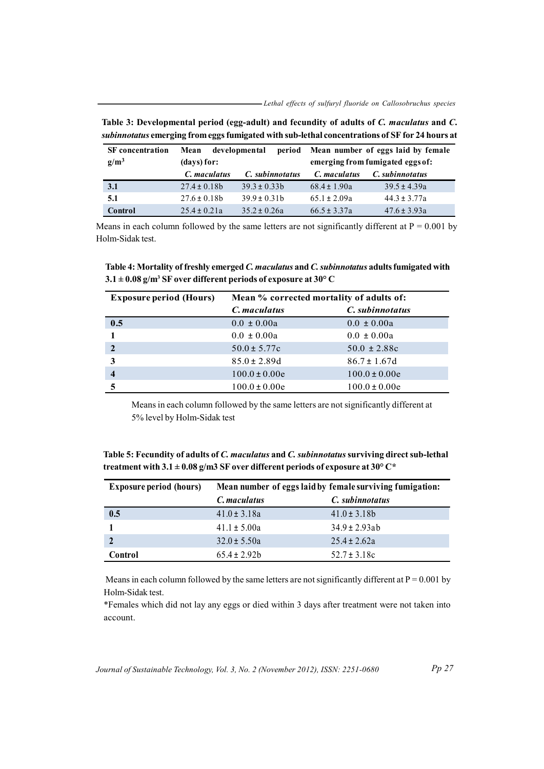- Lethal effects of sulfuryl fluoride on Callosobruchus species

| <b>SF</b> concentration<br>$g/m^3$ | developmental<br>Mean<br>period<br>(days) for: |                  | Mean number of eggs laid by female<br>emerging from fumigated eggs of: |                  |  |
|------------------------------------|------------------------------------------------|------------------|------------------------------------------------------------------------|------------------|--|
|                                    | C. maculatus                                   | C. subinnotatus  | C. maculatus                                                           | C. subinnotatus  |  |
| 3.1                                | $27.4 \pm 0.18b$                               | $39.3 \pm 0.33b$ | $68.4 \pm 1.90a$                                                       | $39.5 \pm 4.39a$ |  |
| 5.1                                | $27.6 \pm 0.18b$                               | $39.9 \pm 0.31b$ | $65.1 \pm 2.09a$                                                       | $44.3 \pm 3.77a$ |  |
| Control                            | $25.4 \pm 0.21a$                               | $35.2 \pm 0.26a$ | $66.5 \pm 3.37a$                                                       | $47.6 \pm 3.93a$ |  |

Table 3: Developmental period (egg-adult) and fecundity of adults of C. maculatus and C. subinnotatus emerging from eggs fumigated with sub-lethal concentrations of SF for 24 hours at

Means in each column followed by the same letters are not significantly different at  $P = 0.001$  by Holm-Sidak test

Table 4: Mortality of freshly emerged C. maculatus and C. subinnotatus adults fumigated with  $3.1 \pm 0.08$  g/m<sup>3</sup> SF over different periods of exposure at 30° C

| <b>Exposure period (Hours)</b> | Mean % corrected mortality of adults of: |                   |  |
|--------------------------------|------------------------------------------|-------------------|--|
|                                | C. maculatus                             | C. subinnotatus   |  |
| 0.5                            | $0.0 \pm 0.00a$                          | $0.0 \pm 0.00a$   |  |
|                                | $0.0 \pm 0.00a$                          | $0.0 \pm 0.00a$   |  |
| $\overline{2}$                 | $50.0 \pm 5.77c$                         | $50.0 \pm 2.88c$  |  |
| 3                              | $85.0 \pm 2.89d$                         | $86.7 \pm 1.67$ d |  |
| 4                              | $100.0 \pm 0.00e$                        | $100.0 \pm 0.00e$ |  |
|                                | $100.0 \pm 0.00e$                        | $100.0 \pm 0.00e$ |  |

Means in each column followed by the same letters are not significantly different at 5% level by Holm-Sidak test

Table 5: Fecundity of adults of C. maculatus and C. subinnotatus surviving direct sub-lethal treatment with 3.1  $\pm$  0.08 g/m3 SF over different periods of exposure at 30° C\*

| <b>Exposure period (hours)</b> | Mean number of eggs laid by female surviving fumigation: |                    |  |
|--------------------------------|----------------------------------------------------------|--------------------|--|
|                                | C. maculatus                                             | C. subinnotatus    |  |
| 0.5                            | $41.0 \pm 3.18a$                                         | $41.0 \pm 3.18b$   |  |
|                                | $41.1 \pm 5.00a$                                         | $34.9 \pm 2.93$ ab |  |
|                                | $32.0 \pm 5.50a$                                         | $25.4 \pm 2.62a$   |  |
| Control                        | $65.4 \pm 2.92b$                                         | $52.7 \pm 3.18c$   |  |

Means in each column followed by the same letters are not significantly different at  $P = 0.001$  by Holm-Sidak test.

\*Females which did not lay any eggs or died within 3 days after treatment were not taken into account.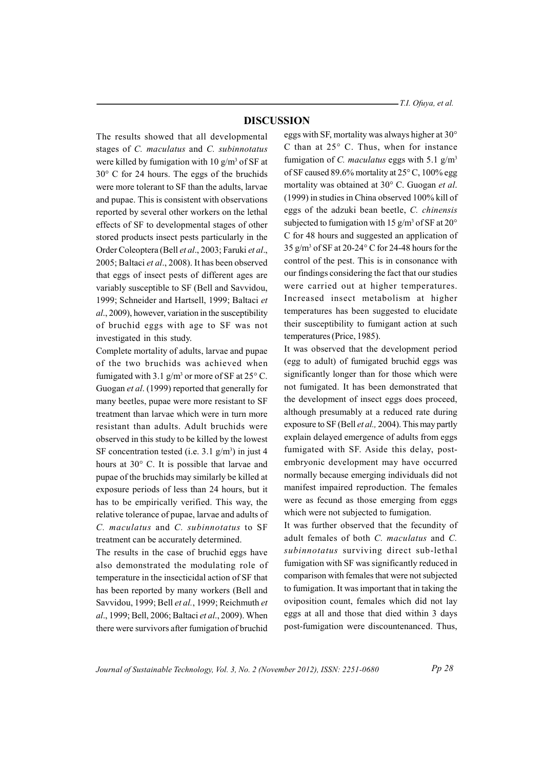- T.I. Ofuya, et al.

### **DISCUSSION**

The results showed that all developmental stages of C. maculatus and C. subinnotatus were killed by fumigation with 10  $g/m^3$  of SF at  $30^{\circ}$  C for 24 hours. The eggs of the bruchids were more tolerant to SF than the adults, larvae and pupae. This is consistent with observations reported by several other workers on the lethal effects of SF to developmental stages of other stored products insect pests particularly in the Order Coleoptera (Bell et al., 2003; Faruki et al., 2005; Baltaci et al., 2008). It has been observed that eggs of insect pests of different ages are variably susceptible to SF (Bell and Savvidou, 1999; Schneider and Hartsell, 1999; Baltaci et al., 2009), however, variation in the susceptibility of bruchid eggs with age to SF was not investigated in this study.

Complete mortality of adults, larvae and pupae of the two bruchids was achieved when fumigated with 3.1  $g/m^3$  or more of SF at 25 $\degree$  C. Guogan et al. (1999) reported that generally for many beetles, pupae were more resistant to SF treatment than larvae which were in turn more resistant than adults. Adult bruchids were observed in this study to be killed by the lowest SF concentration tested (i.e.  $3.1$  g/m<sup>3</sup>) in just 4 hours at 30° C. It is possible that larvae and pupae of the bruchids may similarly be killed at exposure periods of less than 24 hours, but it has to be empirically verified. This way, the relative tolerance of pupae, larvae and adults of C. maculatus and C. subinnotatus to SF treatment can be accurately determined.

The results in the case of bruchid eggs have also demonstrated the modulating role of temperature in the insecticidal action of SF that has been reported by many workers (Bell and Savvidou, 1999; Bell et al., 1999; Reichmuth et al., 1999; Bell, 2006; Baltaci et al., 2009). When there were survivors after fumigation of bruchid

eggs with SF, mortality was always higher at 30° C than at  $25^{\circ}$  C. Thus, when for instance fumigation of C. maculatus eggs with 5.1  $g/m<sup>3</sup>$ of SF caused 89.6% mortality at  $25^{\circ}$  C, 100% egg mortality was obtained at 30° C. Guogan et al. (1999) in studies in China observed 100% kill of eggs of the adzuki bean beetle, C. chinensis subjected to fumigation with 15  $g/m<sup>3</sup>$  of SF at 20<sup>o</sup> C for 48 hours and suggested an application of 35 g/m<sup>3</sup> of SF at 20-24° C for 24-48 hours for the control of the pest. This is in consonance with our findings considering the fact that our studies were carried out at higher temperatures. Increased insect metabolism at higher temperatures has been suggested to elucidate their susceptibility to fumigant action at such temperatures (Price, 1985).

It was observed that the development period (egg to adult) of fumigated bruchid eggs was significantly longer than for those which were not fumigated. It has been demonstrated that the development of insect eggs does proceed, although presumably at a reduced rate during exposure to SF (Bell et al., 2004). This may partly explain delayed emergence of adults from eggs fumigated with SF. Aside this delay, postembryonic development may have occurred normally because emerging individuals did not manifest impaired reproduction. The females were as fecund as those emerging from eggs which were not subjected to fumigation.

It was further observed that the fecundity of adult females of both C. maculatus and C. subinnotatus surviving direct sub-lethal fumigation with SF was significantly reduced in comparison with females that were not subjected to fumigation. It was important that in taking the oviposition count, females which did not lay eggs at all and those that died within 3 days post-fumigation were discountenanced. Thus,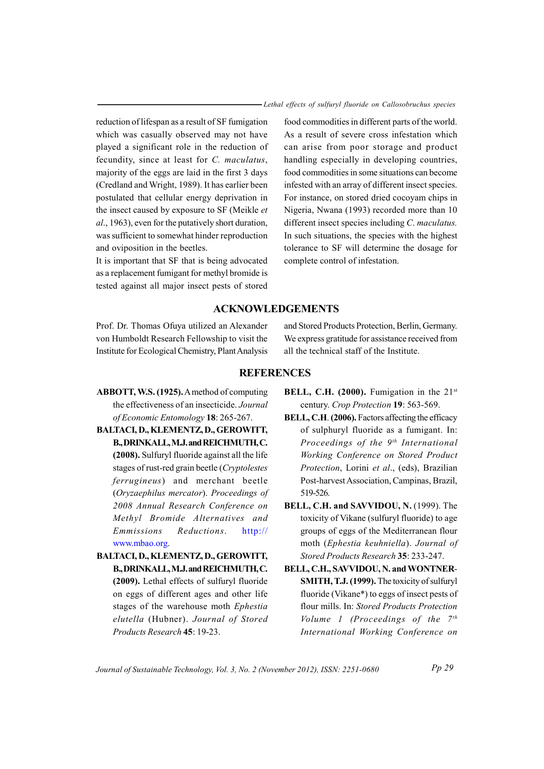- Lethal effects of sulfuryl fluoride on Callosobruchus species

reduction of lifespan as a result of SF fumigation which was casually observed may not have played a significant role in the reduction of fecundity, since at least for C. maculatus, majority of the eggs are laid in the first 3 days (Credland and Wright, 1989). It has earlier been postulated that cellular energy deprivation in the insect caused by exposure to SF (Meikle et al., 1963), even for the putatively short duration, was sufficient to somewhat hinder reproduction and oviposition in the beetles.

It is important that SF that is being advocated as a replacement fumigant for methyl bromide is tested against all major insect pests of stored

food commodities in different parts of the world. As a result of severe cross infestation which can arise from poor storage and product handling especially in developing countries, food commodities in some situations can become infested with an array of different insect species. For instance, on stored dried cocovam chips in Nigeria, Nwana (1993) recorded more than 10 different insect species including C. maculatus. In such situations, the species with the highest tolerance to SF will determine the dosage for complete control of infestation.

## **ACKNOWLEDGEMENTS**

Prof. Dr. Thomas Ofuva utilized an Alexander von Humboldt Research Fellowship to visit the Institute for Ecological Chemistry, Plant Analysis and Stored Products Protection, Berlin, Germany. We express gratitude for assistance received from all the technical staff of the Institute.

#### **REFERENCES**

- ABBOTT, W.S. (1925). A method of computing the effectiveness of an insecticide. Journal of Economic Entomology 18: 265-267.
- BALTACI, D., KLEMENTZ, D., GEROWITT, B., DRINKALL, M.J. and REICHMUTH, C. (2008). Sulfuryl fluoride against all the life stages of rust-red grain beetle (Cryptolestes) *ferrugineus*) and merchant beetle (Oryzaephilus mercator). Proceedings of 2008 Annual Research Conference on Methyl Bromide Alternatives and Emmissions Reductions.  $http://$ www.mbao.org.
- BALTACI, D., KLEMENTZ, D., GEROWITT, B., DRINKALL, M.J. and REICHMUTH, C. (2009). Lethal effects of sulfuryl fluoride on eggs of different ages and other life stages of the warehouse moth Ephestia elutella (Hubner). Journal of Stored Products Research 45: 19-23.
- BELL, C.H. (2000). Fumigation in the  $21<sup>st</sup>$ century. Crop Protection 19: 563-569.
- **BELL, C.H. (2006).** Factors affecting the efficacy of sulphuryl fluoride as a fumigant. In: Proceedings of the 9<sup>th</sup> International Working Conference on Stored Product Protection, Lorini et al., (eds), Brazilian Post-harvest Association, Campinas, Brazil, 519-526.
- BELL, C.H. and SAVVIDOU, N. (1999). The toxicity of Vikane (sulfuryl fluoride) to age groups of eggs of the Mediterranean flour moth (Ephestia keuhniella). Journal of Stored Products Research 35: 233-247.
- **BELL, C.H., SAVVIDOU, N. and WONTNER-**SMITH, T.J. (1999). The toxicity of sulfuryl fluoride (Vikane\*) to eggs of insect pests of flour mills. In: Stored Products Protection Volume 1 (Proceedings of the  $7<sup>th</sup>$ International Working Conference on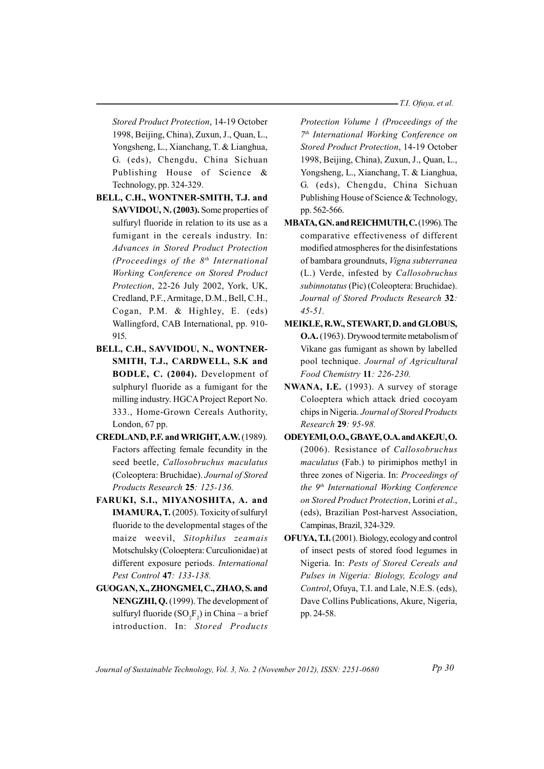-T.I. Ofuya, et al.

Stored Product Protection, 14-19 October 1998, Beijing, China), Zuxun, J., Quan, L., Yongsheng, L., Xianchang, T. & Lianghua, G. (eds), Chengdu, China Sichuan Publishing House of Science & Technology, pp. 324-329.

- BELL, C.H., WONTNER-SMITH, T.J. and SAVVIDOU, N. (2003). Some properties of sulfuryl fluoride in relation to its use as a fumigant in the cereals industry. In: Advances in Stored Product Protection (Proceedings of the  $8<sup>th</sup>$  International Working Conference on Stored Product Protection, 22-26 July 2002, York, UK, Credland, P.F., Armitage, D.M., Bell, C.H., Cogan, P.M. & Highley, E. (eds) Wallingford, CAB International, pp. 910-915
- BELL, C.H., SAVVIDOU, N., WONTNER-SMITH, T.J., CARDWELL, S.K and BODLE, C. (2004). Development of sulphuryl fluoride as a fumigant for the milling industry. HGCA Project Report No. 333., Home-Grown Cereals Authority, London, 67 pp.
- CREDLAND, P.F. and WRIGHT, A.W. (1989). Factors affecting female fecundity in the seed beetle, Callosobruchus maculatus (Coleoptera: Bruchidae). Journal of Stored Products Research 25: 125-136.
- FARUKI, S.I., MIYANOSHITA, A. and **IMAMURA, T.** (2005). Toxicity of sulfuryl fluoride to the developmental stages of the maize weevil, Sitophilus zeamais Motschulsky (Coloeptera: Curculionidae) at different exposure periods. International Pest Control 47: 133-138.
- GUOGAN, X., ZHONGMEI, C., ZHAO, S. and NENGZHI, Q. (1999). The development of sulfuryl fluoride  $(SO<sub>2</sub>F<sub>2</sub>)$  in China – a brief introduction. In: Stored Products

Protection Volume 1 (Proceedings of the 7th International Working Conference on Stored Product Protection, 14-19 October 1998, Beijing, China), Zuxun, J., Quan, L., Yongsheng, L., Xianchang, T. & Lianghua, G. (eds), Chengdu, China Sichuan Publishing House of Science & Technology, pp. 562-566.

- MBATA, GN. and REICHMUTH, C. (1996). The comparative effectiveness of different modified atmospheres for the disinfestations of bambara groundnuts, Vigna subterranea (L.) Verde, infested by Callosobruchus subinnotatus (Pic) (Coleoptera: Bruchidae). Journal of Stored Products Research 32:  $45 - 51$ .
- MEIKLE, R.W., STEWART, D. and GLOBUS, **O.A.** (1963). Drywood termite metabolism of Vikane gas fumigant as shown by labelled pool technique. Journal of Agricultural Food Chemistry 11: 226-230.
- NWANA, I.E. (1993). A survey of storage Coloeptera which attack dried cocoyam chips in Nigeria. Journal of Stored Products Research 29: 95-98.
- ODEYEMI, O.O., GBAYE, O.A. and AKEJU, O. (2006). Resistance of Callosobruchus *maculatus* (Fab.) to pirimiphos methyl in three zones of Nigeria. In: Proceedings of the 9<sup>th</sup> International Working Conference on Stored Product Protection, Lorini et al., (eds), Brazilian Post-harvest Association, Campinas, Brazil, 324-329.
- **OFUYA, T.I.** (2001). Biology, ecology and control of insect pests of stored food legumes in Nigeria. In: Pests of Stored Cereals and Pulses in Nigeria: Biology, Ecology and Control, Ofuya, T.I. and Lale, N.E.S. (eds), Dave Collins Publications, Akure, Nigeria, pp. 24-58.